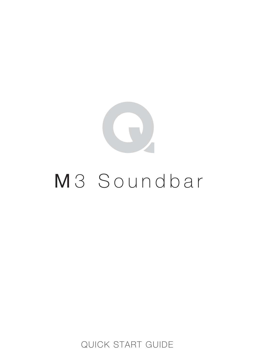

# M<sub>3</sub> Soundbar

QUICK START GUIDE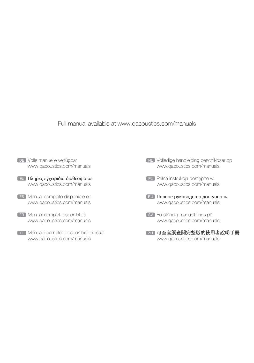Full manual available at www.qacoustics.com/manuals

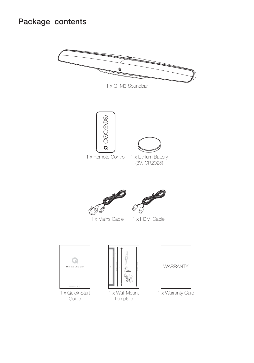## Package contents







1 x Lithium Battery (3V, CR2025)





1 x Mains Cable 1 x HDMI Cable



Guide







1 x Warranty Card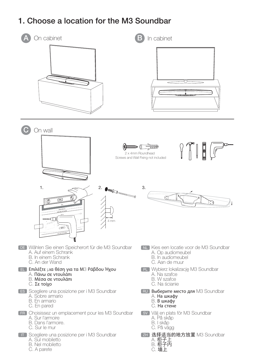## 1. Choose a location for the M3 Soundbar



C. A parete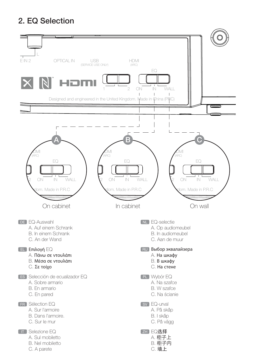# 2. EQ Selection

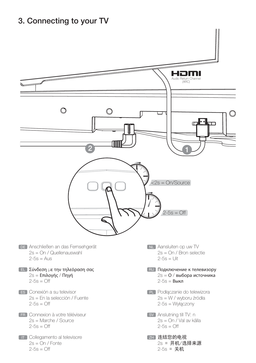#### 3. Connecting to your TV

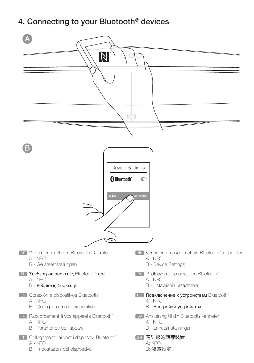#### 4. Connecting to your Bluetooth® devices